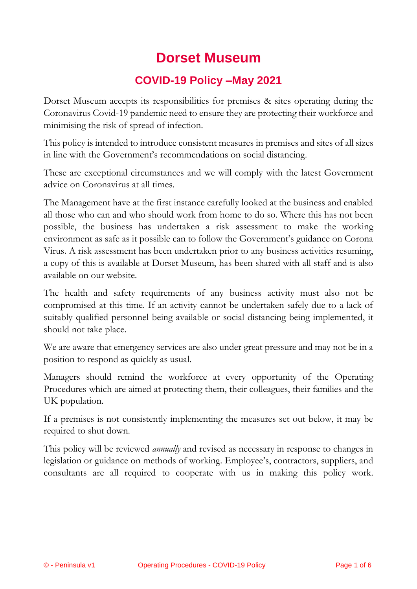# **Dorset Museum**

# **COVID-19 Policy –May 2021**

Dorset Museum accepts its responsibilities for premises & sites operating during the Coronavirus Covid-19 pandemic need to ensure they are protecting their workforce and minimising the risk of spread of infection.

This policy is intended to introduce consistent measures in premises and sites of all sizes in line with the Government's recommendations on social distancing.

These are exceptional circumstances and we will comply with the latest Government advice on Coronavirus at all times.

The Management have at the first instance carefully looked at the business and enabled all those who can and who should work from home to do so. Where this has not been possible, the business has undertaken a risk assessment to make the working environment as safe as it possible can to follow the Government's guidance on Corona Virus. A risk assessment has been undertaken prior to any business activities resuming, a copy of this is available at Dorset Museum, has been shared with all staff and is also available on our website.

The health and safety requirements of any business activity must also not be compromised at this time. If an activity cannot be undertaken safely due to a lack of suitably qualified personnel being available or social distancing being implemented, it should not take place.

We are aware that emergency services are also under great pressure and may not be in a position to respond as quickly as usual.

Managers should remind the workforce at every opportunity of the Operating Procedures which are aimed at protecting them, their colleagues, their families and the UK population.

If a premises is not consistently implementing the measures set out below, it may be required to shut down.

This policy will be reviewed *annually* and revised as necessary in response to changes in legislation or guidance on methods of working. Employee's, contractors, suppliers, and consultants are all required to cooperate with us in making this policy work.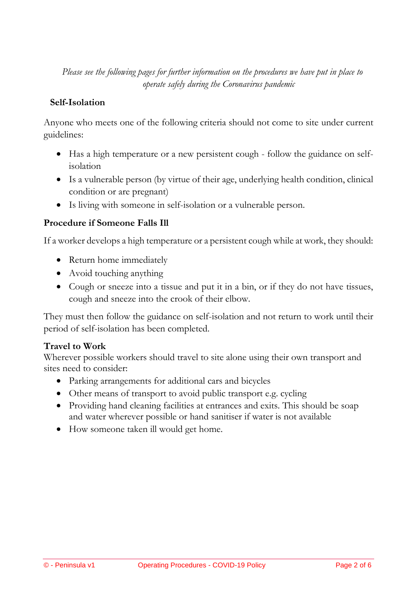*Please see the following pages for further information on the procedures we have put in place to operate safely during the Coronavirus pandemic*

#### **Self-Isolation**

Anyone who meets one of the following criteria should not come to site under current guidelines:

- Has a high temperature or a new persistent cough follow the guidance on selfisolation
- Is a vulnerable person (by virtue of their age, underlying health condition, clinical condition or are pregnant)
- Is living with someone in self-isolation or a vulnerable person.

#### **Procedure if Someone Falls Ill**

If a worker develops a high temperature or a persistent cough while at work, they should:

- Return home immediately
- Avoid touching anything
- Cough or sneeze into a tissue and put it in a bin, or if they do not have tissues, cough and sneeze into the crook of their elbow.

They must then follow the guidance on self-isolation and not return to work until their period of self-isolation has been completed.

#### **Travel to Work**

Wherever possible workers should travel to site alone using their own transport and sites need to consider:

- Parking arrangements for additional cars and bicycles
- Other means of transport to avoid public transport e.g. cycling
- Providing hand cleaning facilities at entrances and exits. This should be soap and water wherever possible or hand sanitiser if water is not available
- How someone taken ill would get home.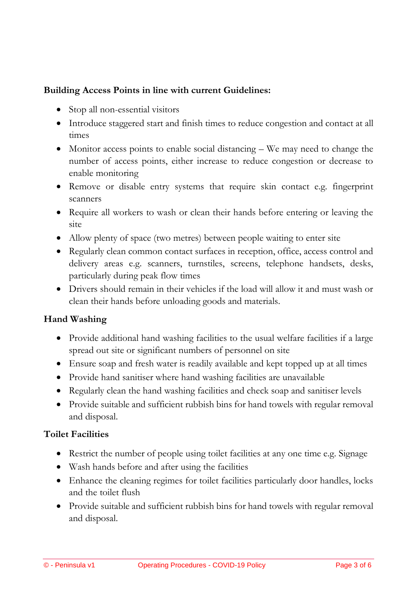### **Building Access Points in line with current Guidelines:**

- Stop all non-essential visitors
- Introduce staggered start and finish times to reduce congestion and contact at all times
- Monitor access points to enable social distancing We may need to change the number of access points, either increase to reduce congestion or decrease to enable monitoring
- Remove or disable entry systems that require skin contact e.g. fingerprint scanners
- Require all workers to wash or clean their hands before entering or leaving the site
- Allow plenty of space (two metres) between people waiting to enter site
- Regularly clean common contact surfaces in reception, office, access control and delivery areas e.g. scanners, turnstiles, screens, telephone handsets, desks, particularly during peak flow times
- Drivers should remain in their vehicles if the load will allow it and must wash or clean their hands before unloading goods and materials.

#### **Hand Washing**

- Provide additional hand washing facilities to the usual welfare facilities if a large spread out site or significant numbers of personnel on site
- Ensure soap and fresh water is readily available and kept topped up at all times
- Provide hand sanitiser where hand washing facilities are unavailable
- Regularly clean the hand washing facilities and check soap and sanitiser levels
- Provide suitable and sufficient rubbish bins for hand towels with regular removal and disposal.

#### **Toilet Facilities**

- Restrict the number of people using toilet facilities at any one time e.g. Signage
- Wash hands before and after using the facilities
- Enhance the cleaning regimes for toilet facilities particularly door handles, locks and the toilet flush
- Provide suitable and sufficient rubbish bins for hand towels with regular removal and disposal.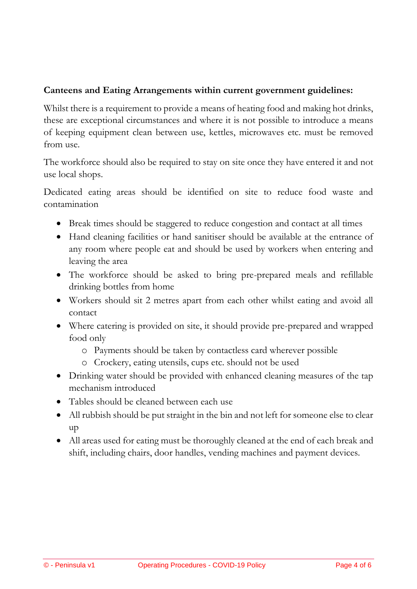# **Canteens and Eating Arrangements within current government guidelines:**

Whilst there is a requirement to provide a means of heating food and making hot drinks, these are exceptional circumstances and where it is not possible to introduce a means of keeping equipment clean between use, kettles, microwaves etc. must be removed from use.

The workforce should also be required to stay on site once they have entered it and not use local shops.

Dedicated eating areas should be identified on site to reduce food waste and contamination

- Break times should be staggered to reduce congestion and contact at all times
- Hand cleaning facilities or hand sanitiser should be available at the entrance of any room where people eat and should be used by workers when entering and leaving the area
- The workforce should be asked to bring pre-prepared meals and refillable drinking bottles from home
- Workers should sit 2 metres apart from each other whilst eating and avoid all contact
- Where catering is provided on site, it should provide pre-prepared and wrapped food only
	- o Payments should be taken by contactless card wherever possible
	- o Crockery, eating utensils, cups etc. should not be used
- Drinking water should be provided with enhanced cleaning measures of the tap mechanism introduced
- Tables should be cleaned between each use
- All rubbish should be put straight in the bin and not left for someone else to clear up
- All areas used for eating must be thoroughly cleaned at the end of each break and shift, including chairs, door handles, vending machines and payment devices.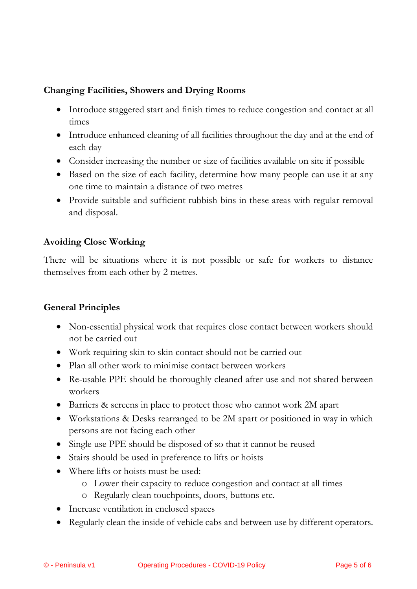# **Changing Facilities, Showers and Drying Rooms**

- Introduce staggered start and finish times to reduce congestion and contact at all times
- Introduce enhanced cleaning of all facilities throughout the day and at the end of each day
- Consider increasing the number or size of facilities available on site if possible
- Based on the size of each facility, determine how many people can use it at any one time to maintain a distance of two metres
- Provide suitable and sufficient rubbish bins in these areas with regular removal and disposal.

# **Avoiding Close Working**

There will be situations where it is not possible or safe for workers to distance themselves from each other by 2 metres.

#### **General Principles**

- Non-essential physical work that requires close contact between workers should not be carried out
- Work requiring skin to skin contact should not be carried out
- Plan all other work to minimise contact between workers
- Re-usable PPE should be thoroughly cleaned after use and not shared between workers
- Barriers & screens in place to protect those who cannot work 2M apart
- Workstations & Desks rearranged to be 2M apart or positioned in way in which persons are not facing each other
- Single use PPE should be disposed of so that it cannot be reused
- Stairs should be used in preference to lifts or hoists
- Where lifts or hoists must be used:
	- o Lower their capacity to reduce congestion and contact at all times
	- o Regularly clean touchpoints, doors, buttons etc.
- Increase ventilation in enclosed spaces
- Regularly clean the inside of vehicle cabs and between use by different operators.